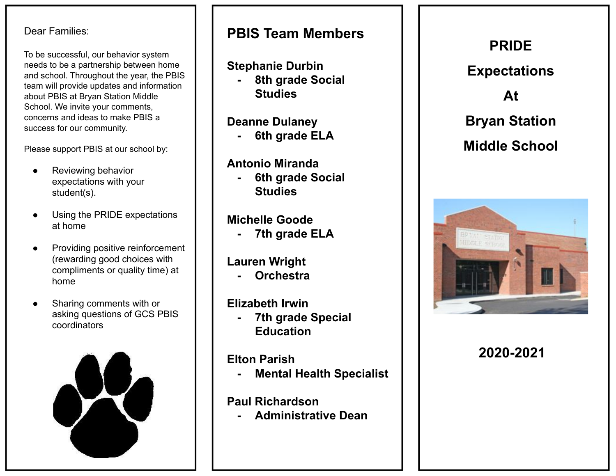#### Dear Families:

To be successful, our behavior system needs to be a partnership between home and school. Throughout the year, the PBIS team will provide updates and information about PBIS at Bryan Station Middle School. We invite your comments, concerns and ideas to make PBIS a success for our community.

Please support PBIS at our school by:

- Reviewing behavior expectations with your student(s).
- Using the PRIDE expectations at home
- Providing positive reinforcement (rewarding good choices with compliments or quality time) at home
- Sharing comments with or asking questions of GCS PBIS coordinators



### **PBIS Team Members**

### **Stephanie Durbin**

**- 8th grade Social Studies**

### **Deanne Dulaney**

**- 6th grade ELA**

### **Antonio Miranda**

**- 6th grade Social Studies**

### **Michelle Goode**

**- 7th grade ELA**

# **Lauren Wright**

**- Orchestra** 

### **Elizabeth Irwin**

**- 7th grade Special Education**

### **Elton Parish**

**- Mental Health Specialist**

### **Paul Richardson**

**- Administrative Dean**

# **PRIDE Expectations At Bryan Station Middle School**



**2020-2021**